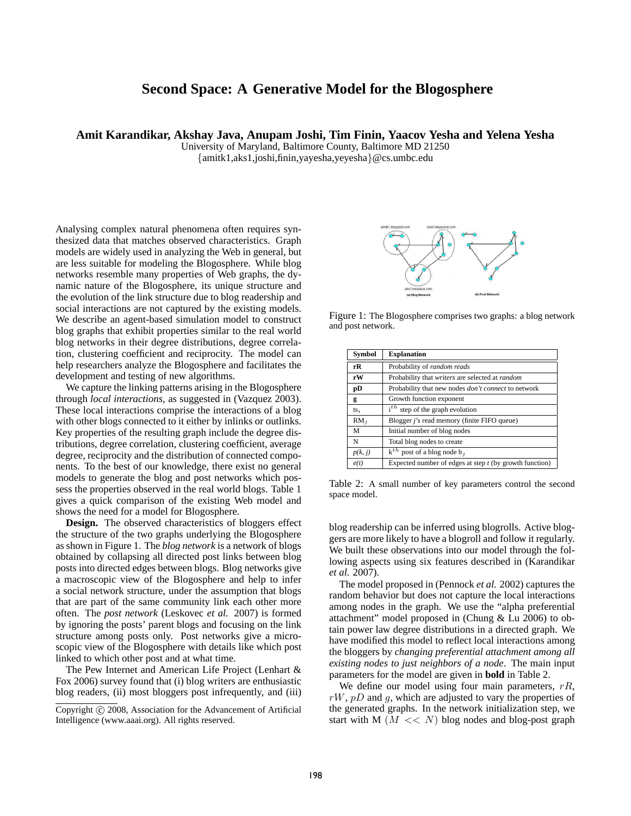## **Second Space: A Generative Model for the Blogosphere**

**Amit Karandikar, Akshay Java, Anupam Joshi, Tim Finin, Yaacov Yesha and Yelena Yesha**

University of Maryland, Baltimore County, Baltimore MD 21250

{amitk1,aks1,joshi,finin,yayesha,yeyesha}@cs.umbc.edu

Analysing complex natural phenomena often requires synthesized data that matches observed characteristics. Graph models are widely used in analyzing the Web in general, but are less suitable for modeling the Blogosphere. While blog networks resemble many properties of Web graphs, the dynamic nature of the Blogosphere, its unique structure and the evolution of the link structure due to blog readership and social interactions are not captured by the existing models. We describe an agent-based simulation model to construct blog graphs that exhibit properties similar to the real world blog networks in their degree distributions, degree correlation, clustering coefficient and reciprocity. The model can help researchers analyze the Blogosphere and facilitates the development and testing of new algorithms.

We capture the linking patterns arising in the Blogosphere through *local interactions*, as suggested in (Vazquez 2003). These local interactions comprise the interactions of a blog with other blogs connected to it either by inlinks or outlinks. Key properties of the resulting graph include the degree distributions, degree correlation, clustering coefficient, average degree, reciprocity and the distribution of connected components. To the best of our knowledge, there exist no general models to generate the blog and post networks which possess the properties observed in the real world blogs. Table 1 gives a quick comparison of the existing Web model and shows the need for a model for Blogosphere.

**Design.** The observed characteristics of bloggers effect the structure of the two graphs underlying the Blogosphere as shown in Figure 1. The *blog network* is a network of blogs obtained by collapsing all directed post links between blog posts into directed edges between blogs. Blog networks give a macroscopic view of the Blogosphere and help to infer a social network structure, under the assumption that blogs that are part of the same community link each other more often. The *post network* (Leskovec *et al.* 2007) is formed by ignoring the posts' parent blogs and focusing on the link structure among posts only. Post networks give a microscopic view of the Blogosphere with details like which post linked to which other post and at what time.

The Pew Internet and American Life Project (Lenhart & Fox 2006) survey found that (i) blog writers are enthusiastic blog readers, (ii) most bloggers post infrequently, and (iii)



Figure 1: The Blogosphere comprises two graphs: a blog network and post network.

| <b>Symbol</b> | <b>Explanation</b>                                         |
|---------------|------------------------------------------------------------|
| rR            | Probability of random reads                                |
| rW            | Probability that writers are selected at random            |
| pD            | Probability that new nodes <i>don't connect</i> to network |
| g             | Growth function exponent                                   |
| $ts_i$        | $i^{th}$ step of the graph evolution                       |
| $RM_i$        | Blogger <i>j</i> 's read memory (finite FIFO queue)        |
| M             | Initial number of blog nodes                               |
| N             | Total blog nodes to create                                 |
| p(k, j)       | $\overline{k^{th}}$ post of a blog node b <sub>j</sub>     |
| e(t)          | Expected number of edges at step $t$ (by growth function)  |

Table 2: A small number of key parameters control the second space model.

blog readership can be inferred using blogrolls. Active bloggers are more likely to have a blogroll and follow it regularly. We built these observations into our model through the following aspects using six features described in (Karandikar *et al.* 2007).

The model proposed in (Pennock *et al.* 2002) captures the random behavior but does not capture the local interactions among nodes in the graph. We use the "alpha preferential attachment" model proposed in (Chung & Lu 2006) to obtain power law degree distributions in a directed graph. We have modified this model to reflect local interactions among the bloggers by *changing preferential attachment among all existing nodes to just neighbors of a node*. The main input parameters for the model are given in **bold** in Table 2.

We define our model using four main parameters,  $rR$ ,  $rW$ ,  $pD$  and g, which are adjusted to vary the properties of the generated graphs. In the network initialization step, we start with M  $(M \ll N)$  blog nodes and blog-post graph

Copyright (c) 2008, Association for the Advancement of Artificial Intelligence (www.aaai.org). All rights reserved.